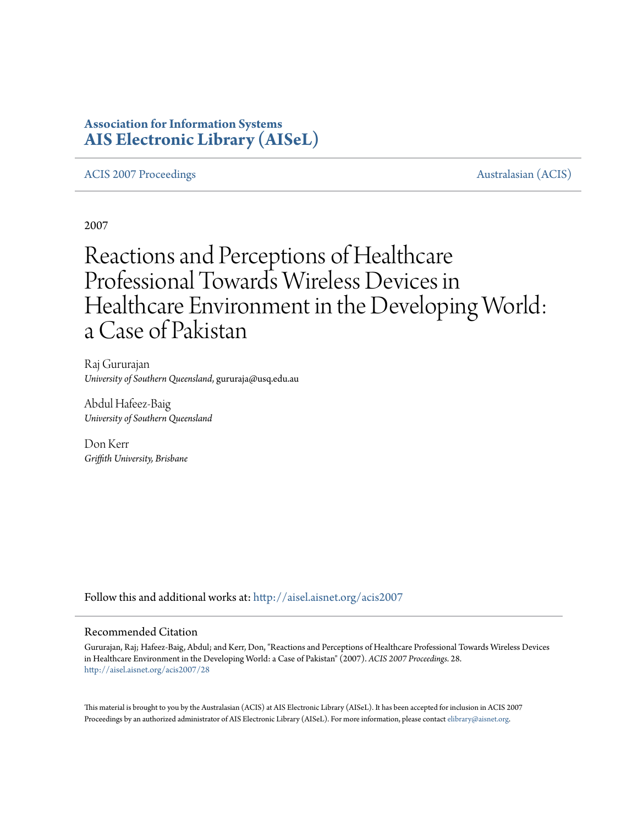# **Association for Information Systems [AIS Electronic Library \(AISeL\)](http://aisel.aisnet.org?utm_source=aisel.aisnet.org%2Facis2007%2F28&utm_medium=PDF&utm_campaign=PDFCoverPages)**

#### [ACIS 2007 Proceedings](http://aisel.aisnet.org/acis2007?utm_source=aisel.aisnet.org%2Facis2007%2F28&utm_medium=PDF&utm_campaign=PDFCoverPages) **Australasian** (ACIS)

2007

# Reactions and Perceptions of Healthcare Professional Towards Wireless Devices in Healthcare Environment in the Developing World: a Case of Pakistan

Raj Gururajan *University of Southern Queensland*, gururaja@usq.edu.au

Abdul Hafeez-Baig *University of Southern Queensland*

Don Kerr *Griffith University, Brisbane*

Follow this and additional works at: [http://aisel.aisnet.org/acis2007](http://aisel.aisnet.org/acis2007?utm_source=aisel.aisnet.org%2Facis2007%2F28&utm_medium=PDF&utm_campaign=PDFCoverPages)

#### Recommended Citation

Gururajan, Raj; Hafeez-Baig, Abdul; and Kerr, Don, "Reactions and Perceptions of Healthcare Professional Towards Wireless Devices in Healthcare Environment in the Developing World: a Case of Pakistan" (2007). *ACIS 2007 Proceedings*. 28. [http://aisel.aisnet.org/acis2007/28](http://aisel.aisnet.org/acis2007/28?utm_source=aisel.aisnet.org%2Facis2007%2F28&utm_medium=PDF&utm_campaign=PDFCoverPages)

This material is brought to you by the Australasian (ACIS) at AIS Electronic Library (AISeL). It has been accepted for inclusion in ACIS 2007 Proceedings by an authorized administrator of AIS Electronic Library (AISeL). For more information, please contact [elibrary@aisnet.org](mailto:elibrary@aisnet.org%3E).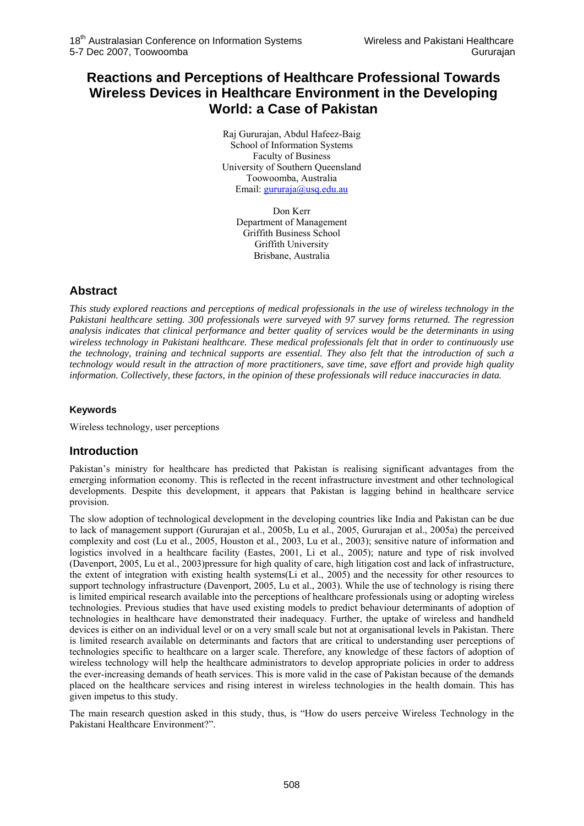# **Reactions and Perceptions of Healthcare Professional Towards Wireless Devices in Healthcare Environment in the Developing World: a Case of Pakistan**

Raj Gururajan, Abdul Hafeez-Baig School of Information Systems Faculty of Business University of Southern Queensland Toowoomba, Australia Email: gururaja@usq.edu.au

> Don Kerr Department of Management Griffith Business School Griffith University Brisbane, Australia

## **Abstract**

*This study explored reactions and perceptions of medical professionals in the use of wireless technology in the Pakistani healthcare setting. 300 professionals were surveyed with 97 survey forms returned. The regression analysis indicates that clinical performance and better quality of services would be the determinants in using wireless technology in Pakistani healthcare. These medical professionals felt that in order to continuously use the technology, training and technical supports are essential. They also felt that the introduction of such a technology would result in the attraction of more practitioners, save time, save effort and provide high quality information. Collectively, these factors, in the opinion of these professionals will reduce inaccuracies in data.* 

#### **Keywords**

Wireless technology, user perceptions

#### **Introduction**

Pakistan's ministry for healthcare has predicted that Pakistan is realising significant advantages from the emerging information economy. This is reflected in the recent infrastructure investment and other technological developments. Despite this development, it appears that Pakistan is lagging behind in healthcare service provision.

The slow adoption of technological development in the developing countries like India and Pakistan can be due to lack of management support (Gururajan et al., 2005b, Lu et al., 2005, Gururajan et al., 2005a) the perceived complexity and cost (Lu et al., 2005, Houston et al., 2003, Lu et al., 2003); sensitive nature of information and logistics involved in a healthcare facility (Eastes, 2001, Li et al., 2005); nature and type of risk involved (Davenport, 2005, Lu et al., 2003)pressure for high quality of care, high litigation cost and lack of infrastructure, the extent of integration with existing health systems(Li et al., 2005) and the necessity for other resources to support technology infrastructure (Davenport, 2005, Lu et al., 2003). While the use of technology is rising there is limited empirical research available into the perceptions of healthcare professionals using or adopting wireless technologies. Previous studies that have used existing models to predict behaviour determinants of adoption of technologies in healthcare have demonstrated their inadequacy. Further, the uptake of wireless and handheld devices is either on an individual level or on a very small scale but not at organisational levels in Pakistan. There is limited research available on determinants and factors that are critical to understanding user perceptions of technologies specific to healthcare on a larger scale. Therefore, any knowledge of these factors of adoption of wireless technology will help the healthcare administrators to develop appropriate policies in order to address the ever-increasing demands of heath services. This is more valid in the case of Pakistan because of the demands placed on the healthcare services and rising interest in wireless technologies in the health domain. This has given impetus to this study.

The main research question asked in this study, thus, is "How do users perceive Wireless Technology in the Pakistani Healthcare Environment?".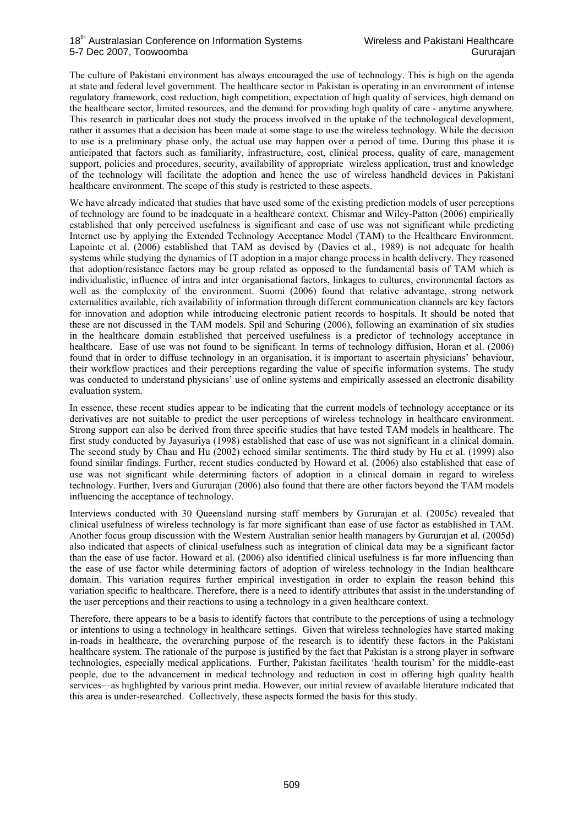The culture of Pakistani environment has always encouraged the use of technology. This is high on the agenda at state and federal level government. The healthcare sector in Pakistan is operating in an environment of intense regulatory framework, cost reduction, high competition, expectation of high quality of services, high demand on the healthcare sector, limited resources, and the demand for providing high quality of care - anytime anywhere. This research in particular does not study the process involved in the uptake of the technological development, rather it assumes that a decision has been made at some stage to use the wireless technology. While the decision to use is a preliminary phase only, the actual use may happen over a period of time. During this phase it is anticipated that factors such as familiarity, infrastructure, cost, clinical process, quality of care, management support, policies and procedures, security, availability of appropriate wireless application, trust and knowledge of the technology will facilitate the adoption and hence the use of wireless handheld devices in Pakistani healthcare environment. The scope of this study is restricted to these aspects.

We have already indicated that studies that have used some of the existing prediction models of user perceptions of technology are found to be inadequate in a healthcare context. Chismar and Wiley-Patton (2006) empirically established that only perceived usefulness is significant and ease of use was not significant while predicting Internet use by applying the Extended Technology Acceptance Model (TAM) to the Healthcare Environment. Lapointe et al. (2006) established that TAM as devised by (Davies et al., 1989) is not adequate for health systems while studying the dynamics of IT adoption in a major change process in health delivery. They reasoned that adoption/resistance factors may be group related as opposed to the fundamental basis of TAM which is individualistic, influence of intra and inter organisational factors, linkages to cultures, environmental factors as well as the complexity of the environment. Suomi (2006) found that relative advantage, strong network externalities available, rich availability of information through different communication channels are key factors for innovation and adoption while introducing electronic patient records to hospitals. It should be noted that these are not discussed in the TAM models. Spil and Schuring (2006), following an examination of six studies in the healthcare domain established that perceived usefulness is a predictor of technology acceptance in healthcare. Ease of use was not found to be significant. In terms of technology diffusion, Horan et al. (2006) found that in order to diffuse technology in an organisation, it is important to ascertain physicians' behaviour, their workflow practices and their perceptions regarding the value of specific information systems. The study was conducted to understand physicians' use of online systems and empirically assessed an electronic disability evaluation system.

In essence, these recent studies appear to be indicating that the current models of technology acceptance or its derivatives are not suitable to predict the user perceptions of wireless technology in healthcare environment. Strong support can also be derived from three specific studies that have tested TAM models in healthcare. The first study conducted by Jayasuriya (1998) established that ease of use was not significant in a clinical domain. The second study by Chau and Hu (2002) echoed similar sentiments. The third study by Hu et al. (1999) also found similar findings. Further, recent studies conducted by Howard et al. (2006) also established that ease of use was not significant while determining factors of adoption in a clinical domain in regard to wireless technology. Further, Ivers and Gururajan (2006) also found that there are other factors beyond the TAM models influencing the acceptance of technology.

Interviews conducted with 30 Queensland nursing staff members by Gururajan et al. (2005c) revealed that clinical usefulness of wireless technology is far more significant than ease of use factor as established in TAM. Another focus group discussion with the Western Australian senior health managers by Gururajan et al. (2005d) also indicated that aspects of clinical usefulness such as integration of clinical data may be a significant factor than the ease of use factor. Howard et al. (2006) also identified clinical usefulness is far more influencing than the ease of use factor while determining factors of adoption of wireless technology in the Indian healthcare domain. This variation requires further empirical investigation in order to explain the reason behind this variation specific to healthcare. Therefore, there is a need to identify attributes that assist in the understanding of the user perceptions and their reactions to using a technology in a given healthcare context.

Therefore, there appears to be a basis to identify factors that contribute to the perceptions of using a technology or intentions to using a technology in healthcare settings. Given that wireless technologies have started making in-roads in healthcare, the overarching purpose of the research is to identify these factors in the Pakistani healthcare system. The rationale of the purpose is justified by the fact that Pakistan is a strong player in software technologies, especially medical applications. Further, Pakistan facilitates 'health tourism' for the middle-east people, due to the advancement in medical technology and reduction in cost in offering high quality health services—as highlighted by various print media. However, our initial review of available literature indicated that this area is under-researched. Collectively, these aspects formed the basis for this study.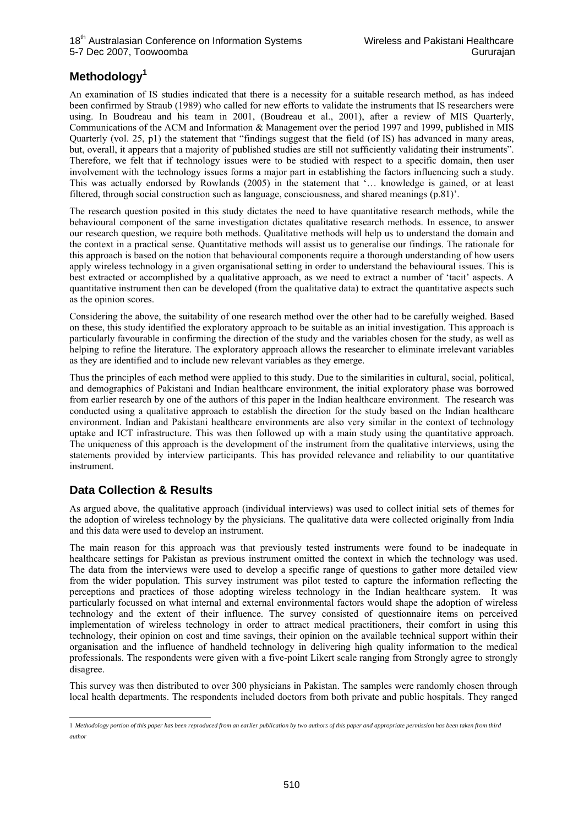# **Methodology1**

An examination of IS studies indicated that there is a necessity for a suitable research method, as has indeed been confirmed by Straub (1989) who called for new efforts to validate the instruments that IS researchers were using. In Boudreau and his team in 2001, (Boudreau et al., 2001), after a review of MIS Quarterly, Communications of the ACM and Information & Management over the period 1997 and 1999, published in MIS Quarterly (vol. 25, p1) the statement that "findings suggest that the field (of IS) has advanced in many areas, but, overall, it appears that a majority of published studies are still not sufficiently validating their instruments". Therefore, we felt that if technology issues were to be studied with respect to a specific domain, then user involvement with the technology issues forms a major part in establishing the factors influencing such a study. This was actually endorsed by Rowlands (2005) in the statement that '… knowledge is gained, or at least filtered, through social construction such as language, consciousness, and shared meanings (p.81)'.

The research question posited in this study dictates the need to have quantitative research methods, while the behavioural component of the same investigation dictates qualitative research methods. In essence, to answer our research question, we require both methods. Qualitative methods will help us to understand the domain and the context in a practical sense. Quantitative methods will assist us to generalise our findings. The rationale for this approach is based on the notion that behavioural components require a thorough understanding of how users apply wireless technology in a given organisational setting in order to understand the behavioural issues. This is best extracted or accomplished by a qualitative approach, as we need to extract a number of 'tacit' aspects. A quantitative instrument then can be developed (from the qualitative data) to extract the quantitative aspects such as the opinion scores.

Considering the above, the suitability of one research method over the other had to be carefully weighed. Based on these, this study identified the exploratory approach to be suitable as an initial investigation. This approach is particularly favourable in confirming the direction of the study and the variables chosen for the study, as well as helping to refine the literature. The exploratory approach allows the researcher to eliminate irrelevant variables as they are identified and to include new relevant variables as they emerge.

Thus the principles of each method were applied to this study. Due to the similarities in cultural, social, political, and demographics of Pakistani and Indian healthcare environment, the initial exploratory phase was borrowed from earlier research by one of the authors of this paper in the Indian healthcare environment. The research was conducted using a qualitative approach to establish the direction for the study based on the Indian healthcare environment. Indian and Pakistani healthcare environments are also very similar in the context of technology uptake and ICT infrastructure. This was then followed up with a main study using the quantitative approach. The uniqueness of this approach is the development of the instrument from the qualitative interviews, using the statements provided by interview participants. This has provided relevance and reliability to our quantitative instrument.

## **Data Collection & Results**

As argued above, the qualitative approach (individual interviews) was used to collect initial sets of themes for the adoption of wireless technology by the physicians. The qualitative data were collected originally from India and this data were used to develop an instrument.

The main reason for this approach was that previously tested instruments were found to be inadequate in healthcare settings for Pakistan as previous instrument omitted the context in which the technology was used. The data from the interviews were used to develop a specific range of questions to gather more detailed view from the wider population. This survey instrument was pilot tested to capture the information reflecting the perceptions and practices of those adopting wireless technology in the Indian healthcare system. It was particularly focussed on what internal and external environmental factors would shape the adoption of wireless technology and the extent of their influence. The survey consisted of questionnaire items on perceived implementation of wireless technology in order to attract medical practitioners, their comfort in using this technology, their opinion on cost and time savings, their opinion on the available technical support within their organisation and the influence of handheld technology in delivering high quality information to the medical professionals. The respondents were given with a five-point Likert scale ranging from Strongly agree to strongly disagree.

This survey was then distributed to over 300 physicians in Pakistan. The samples were randomly chosen through local health departments. The respondents included doctors from both private and public hospitals. They ranged

 1 *Methodology portion of this paper has been reproduced from an earlier publication by two authors of this paper and appropriate permission has been taken from third author*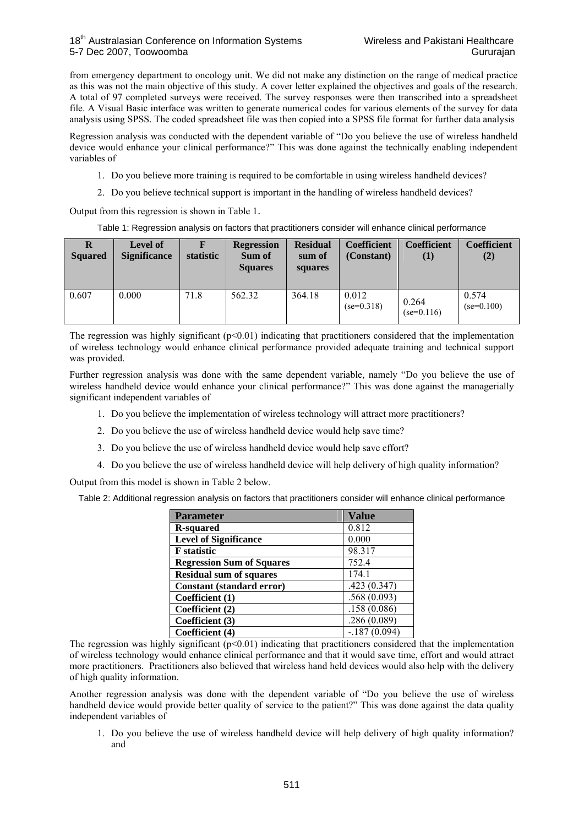from emergency department to oncology unit. We did not make any distinction on the range of medical practice as this was not the main objective of this study. A cover letter explained the objectives and goals of the research. A total of 97 completed surveys were received. The survey responses were then transcribed into a spreadsheet file. A Visual Basic interface was written to generate numerical codes for various elements of the survey for data analysis using SPSS. The coded spreadsheet file was then copied into a SPSS file format for further data analysis

Regression analysis was conducted with the dependent variable of "Do you believe the use of wireless handheld device would enhance your clinical performance?" This was done against the technically enabling independent variables of

- 1. Do you believe more training is required to be comfortable in using wireless handheld devices?
- 2. Do you believe technical support is important in the handling of wireless handheld devices?

Output from this regression is shown in Table 1.

Table 1: Regression analysis on factors that practitioners consider will enhance clinical performance

| R<br><b>Squared</b> | <b>Level of</b><br><b>Significance</b> | statistic | <b>Regression</b><br>Sum of<br><b>Squares</b> | <b>Residual</b><br>sum of<br>squares | <b>Coefficient</b><br>(Constant) | <b>Coefficient</b><br>$\bf(1)$ | Coefficient<br>(2)    |
|---------------------|----------------------------------------|-----------|-----------------------------------------------|--------------------------------------|----------------------------------|--------------------------------|-----------------------|
| 0.607               | 0.000                                  | 71.8      | 562.32                                        | 364.18                               | 0.012<br>$(se=0.318)$            | 0.264<br>$(se=0.116)$          | 0.574<br>$(se=0.100)$ |

The regression was highly significant ( $p<0.01$ ) indicating that practitioners considered that the implementation of wireless technology would enhance clinical performance provided adequate training and technical support was provided.

Further regression analysis was done with the same dependent variable, namely "Do you believe the use of wireless handheld device would enhance your clinical performance?" This was done against the managerially significant independent variables of

- 1. Do you believe the implementation of wireless technology will attract more practitioners?
- 2. Do you believe the use of wireless handheld device would help save time?
- 3. Do you believe the use of wireless handheld device would help save effort?
- 4. Do you believe the use of wireless handheld device will help delivery of high quality information?

Output from this model is shown in Table 2 below.

Table 2: Additional regression analysis on factors that practitioners consider will enhance clinical performance

| <b>Parameter</b>                 | <b>Value</b>   |
|----------------------------------|----------------|
| <b>R-squared</b>                 | 0.812          |
| <b>Level of Significance</b>     | 0.000          |
| <b>F</b> statistic               | 98.317         |
| <b>Regression Sum of Squares</b> | 752.4          |
| <b>Residual sum of squares</b>   | 174.1          |
| Constant (standard error)        | .423(0.347)    |
| Coefficient (1)                  | .568(0.093)    |
| Coefficient (2)                  | .158(0.086)    |
| Coefficient (3)                  | .286(0.089)    |
| Coefficient (4)                  | $-.187(0.094)$ |

The regression was highly significant  $(p<0.01)$  indicating that practitioners considered that the implementation of wireless technology would enhance clinical performance and that it would save time, effort and would attract more practitioners. Practitioners also believed that wireless hand held devices would also help with the delivery of high quality information.

Another regression analysis was done with the dependent variable of "Do you believe the use of wireless handheld device would provide better quality of service to the patient?" This was done against the data quality independent variables of

1. Do you believe the use of wireless handheld device will help delivery of high quality information? and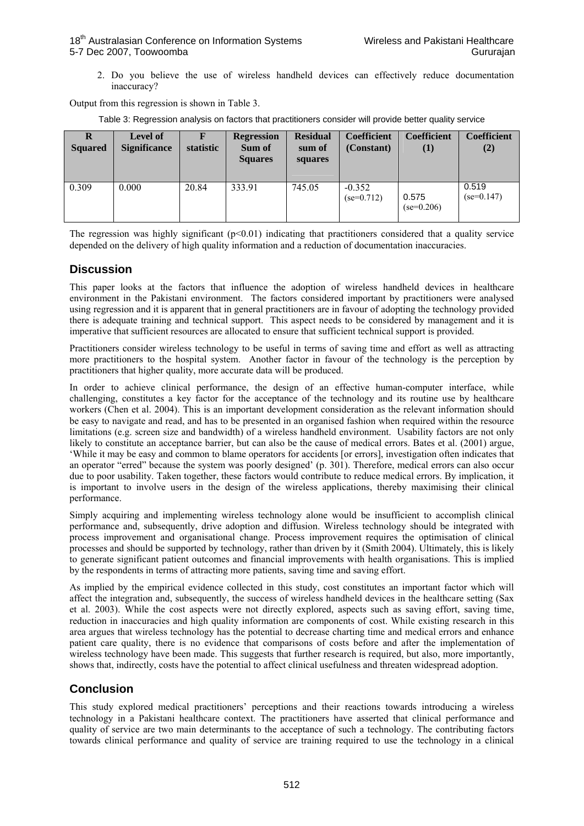2. Do you believe the use of wireless handheld devices can effectively reduce documentation inaccuracy?

Output from this regression is shown in Table 3.

Table 3: Regression analysis on factors that practitioners consider will provide better quality service

| $\bf R$<br><b>Squared</b> | <b>Level of</b><br><b>Significance</b> | statistic | <b>Regression</b><br>Sum of<br><b>Squares</b> | <b>Residual</b><br>sum of<br>squares | <b>Coefficient</b><br>(Constant) | <b>Coefficient</b><br>$\bf(1)$ | <b>Coefficient</b><br>(2) |
|---------------------------|----------------------------------------|-----------|-----------------------------------------------|--------------------------------------|----------------------------------|--------------------------------|---------------------------|
| 0.309                     | 0.000                                  | 20.84     | 333.91                                        | 745.05                               | $-0.352$<br>$(se=0.712)$         | $0.575$<br>(se=0.206)          | 0.519<br>$(se=0.147)$     |

The regression was highly significant  $(p<0.01)$  indicating that practitioners considered that a quality service depended on the delivery of high quality information and a reduction of documentation inaccuracies.

## **Discussion**

This paper looks at the factors that influence the adoption of wireless handheld devices in healthcare environment in the Pakistani environment. The factors considered important by practitioners were analysed using regression and it is apparent that in general practitioners are in favour of adopting the technology provided there is adequate training and technical support. This aspect needs to be considered by management and it is imperative that sufficient resources are allocated to ensure that sufficient technical support is provided.

Practitioners consider wireless technology to be useful in terms of saving time and effort as well as attracting more practitioners to the hospital system. Another factor in favour of the technology is the perception by practitioners that higher quality, more accurate data will be produced.

In order to achieve clinical performance, the design of an effective human-computer interface, while challenging, constitutes a key factor for the acceptance of the technology and its routine use by healthcare workers (Chen et al. 2004). This is an important development consideration as the relevant information should be easy to navigate and read, and has to be presented in an organised fashion when required within the resource limitations (e.g. screen size and bandwidth) of a wireless handheld environment. Usability factors are not only likely to constitute an acceptance barrier, but can also be the cause of medical errors. Bates et al. (2001) argue, 'While it may be easy and common to blame operators for accidents [or errors], investigation often indicates that an operator "erred" because the system was poorly designed' (p. 301). Therefore, medical errors can also occur due to poor usability. Taken together, these factors would contribute to reduce medical errors. By implication, it is important to involve users in the design of the wireless applications, thereby maximising their clinical performance.

Simply acquiring and implementing wireless technology alone would be insufficient to accomplish clinical performance and, subsequently, drive adoption and diffusion. Wireless technology should be integrated with process improvement and organisational change. Process improvement requires the optimisation of clinical processes and should be supported by technology, rather than driven by it (Smith 2004). Ultimately, this is likely to generate significant patient outcomes and financial improvements with health organisations. This is implied by the respondents in terms of attracting more patients, saving time and saving effort.

As implied by the empirical evidence collected in this study, cost constitutes an important factor which will affect the integration and, subsequently, the success of wireless handheld devices in the healthcare setting (Sax et al. 2003). While the cost aspects were not directly explored, aspects such as saving effort, saving time, reduction in inaccuracies and high quality information are components of cost. While existing research in this area argues that wireless technology has the potential to decrease charting time and medical errors and enhance patient care quality, there is no evidence that comparisons of costs before and after the implementation of wireless technology have been made. This suggests that further research is required, but also, more importantly, shows that, indirectly, costs have the potential to affect clinical usefulness and threaten widespread adoption.

## **Conclusion**

This study explored medical practitioners' perceptions and their reactions towards introducing a wireless technology in a Pakistani healthcare context. The practitioners have asserted that clinical performance and quality of service are two main determinants to the acceptance of such a technology. The contributing factors towards clinical performance and quality of service are training required to use the technology in a clinical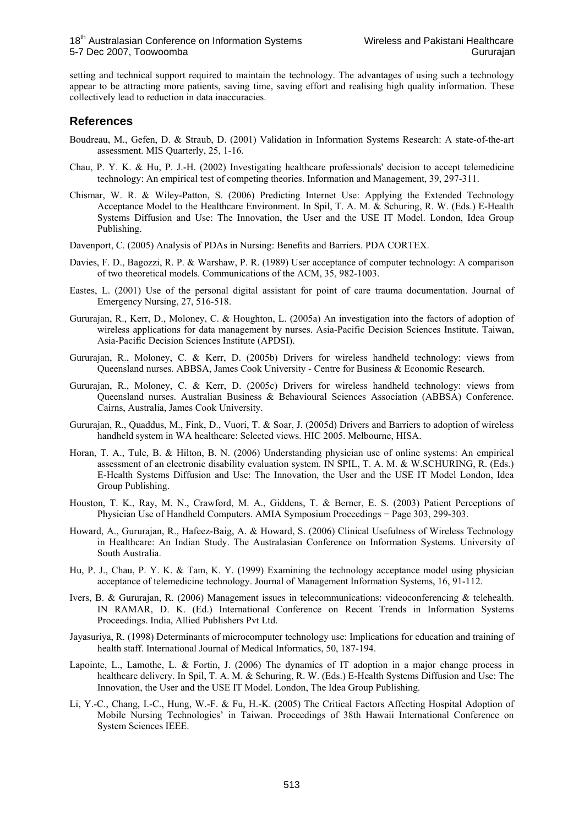setting and technical support required to maintain the technology. The advantages of using such a technology appear to be attracting more patients, saving time, saving effort and realising high quality information. These collectively lead to reduction in data inaccuracies.

#### **References**

- Boudreau, M., Gefen, D. & Straub, D. (2001) Validation in Information Systems Research: A state-of-the-art assessment. MIS Quarterly, 25, 1-16.
- Chau, P. Y. K. & Hu, P. J.-H. (2002) Investigating healthcare professionals' decision to accept telemedicine technology: An empirical test of competing theories. Information and Management, 39, 297-311.
- Chismar, W. R. & Wiley-Patton, S. (2006) Predicting Internet Use: Applying the Extended Technology Acceptance Model to the Healthcare Environment. In Spil, T. A. M. & Schuring, R. W. (Eds.) E-Health Systems Diffusion and Use: The Innovation, the User and the USE IT Model. London, Idea Group Publishing.
- Davenport, C. (2005) Analysis of PDAs in Nursing: Benefits and Barriers. PDA CORTEX.
- Davies, F. D., Bagozzi, R. P. & Warshaw, P. R. (1989) User acceptance of computer technology: A comparison of two theoretical models. Communications of the ACM, 35, 982-1003.
- Eastes, L. (2001) Use of the personal digital assistant for point of care trauma documentation. Journal of Emergency Nursing, 27, 516-518.
- Gururajan, R., Kerr, D., Moloney, C. & Houghton, L. (2005a) An investigation into the factors of adoption of wireless applications for data management by nurses. Asia-Pacific Decision Sciences Institute. Taiwan, Asia-Pacific Decision Sciences Institute (APDSI).
- Gururajan, R., Moloney, C. & Kerr, D. (2005b) Drivers for wireless handheld technology: views from Queensland nurses. ABBSA, James Cook University - Centre for Business & Economic Research.
- Gururajan, R., Moloney, C. & Kerr, D. (2005c) Drivers for wireless handheld technology: views from Queensland nurses. Australian Business & Behavioural Sciences Association (ABBSA) Conference. Cairns, Australia, James Cook University.
- Gururajan, R., Quaddus, M., Fink, D., Vuori, T. & Soar, J. (2005d) Drivers and Barriers to adoption of wireless handheld system in WA healthcare: Selected views. HIC 2005. Melbourne, HISA.
- Horan, T. A., Tule, B. & Hilton, B. N. (2006) Understanding physician use of online systems: An empirical assessment of an electronic disability evaluation system. IN SPIL, T. A. M. & W.SCHURING, R. (Eds.) E-Health Systems Diffusion and Use: The Innovation, the User and the USE IT Model London, Idea Group Publishing.
- Houston, T. K., Ray, M. N., Crawford, M. A., Giddens, T. & Berner, E. S. (2003) Patient Perceptions of Physician Use of Handheld Computers. AMIA Symposium Proceedings − Page 303, 299-303.
- Howard, A., Gururajan, R., Hafeez-Baig, A. & Howard, S. (2006) Clinical Usefulness of Wireless Technology in Healthcare: An Indian Study. The Australasian Conference on Information Systems. University of South Australia.
- Hu, P. J., Chau, P. Y. K. & Tam, K. Y. (1999) Examining the technology acceptance model using physician acceptance of telemedicine technology. Journal of Management Information Systems, 16, 91-112.
- Ivers, B. & Gururajan, R. (2006) Management issues in telecommunications: videoconferencing & telehealth. IN RAMAR, D. K. (Ed.) International Conference on Recent Trends in Information Systems Proceedings. India, Allied Publishers Pvt Ltd.
- Jayasuriya, R. (1998) Determinants of microcomputer technology use: Implications for education and training of health staff. International Journal of Medical Informatics, 50, 187-194.
- Lapointe, L., Lamothe, L. & Fortin, J. (2006) The dynamics of IT adoption in a major change process in healthcare delivery. In Spil, T. A. M. & Schuring, R. W. (Eds.) E-Health Systems Diffusion and Use: The Innovation, the User and the USE IT Model. London, The Idea Group Publishing.
- Li, Y.-C., Chang, I.-C., Hung, W.-F. & Fu, H.-K. (2005) The Critical Factors Affecting Hospital Adoption of Mobile Nursing Technologies' in Taiwan. Proceedings of 38th Hawaii International Conference on System Sciences IEEE.